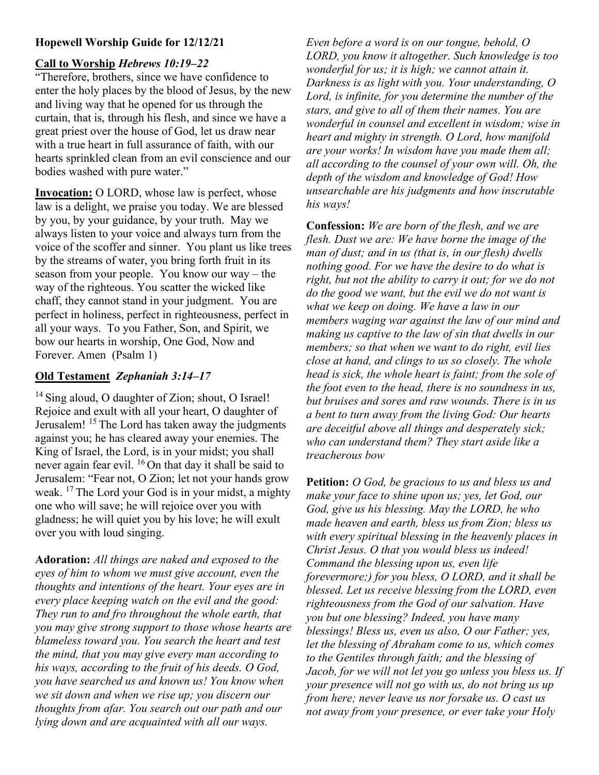## Hopewell Worship Guide for 12/12/21

## Call to Worship Hebrews 10:19–22

"Therefore, brothers, since we have confidence to enter the holy places by the blood of Jesus, by the new and living way that he opened for us through the curtain, that is, through his flesh, and since we have a great priest over the house of God, let us draw near with a true heart in full assurance of faith, with our hearts sprinkled clean from an evil conscience and our bodies washed with pure water."

Invocation: O LORD, whose law is perfect, whose law is a delight, we praise you today. We are blessed by you, by your guidance, by your truth. May we always listen to your voice and always turn from the voice of the scoffer and sinner. You plant us like trees by the streams of water, you bring forth fruit in its season from your people. You know our way – the way of the righteous. You scatter the wicked like chaff, they cannot stand in your judgment. You are perfect in holiness, perfect in righteousness, perfect in all your ways. To you Father, Son, and Spirit, we bow our hearts in worship, One God, Now and Forever. Amen (Psalm 1)

## Old Testament Zephaniah 3:14–17

<sup>14</sup> Sing aloud, O daughter of Zion; shout, O Israel! Rejoice and exult with all your heart, O daughter of Jerusalem! <sup>15</sup> The Lord has taken away the judgments against you; he has cleared away your enemies. The King of Israel, the Lord, is in your midst; you shall never again fear evil. <sup>16</sup>On that day it shall be said to Jerusalem: "Fear not, O Zion; let not your hands grow weak.  $17$  The Lord your God is in your midst, a mighty one who will save; he will rejoice over you with gladness; he will quiet you by his love; he will exult over you with loud singing.

Adoration: All things are naked and exposed to the eyes of him to whom we must give account, even the thoughts and intentions of the heart. Your eyes are in every place keeping watch on the evil and the good: They run to and fro throughout the whole earth, that you may give strong support to those whose hearts are blameless toward you. You search the heart and test the mind, that you may give every man according to his ways, according to the fruit of his deeds. O God, you have searched us and known us! You know when we sit down and when we rise up; you discern our thoughts from afar. You search out our path and our lying down and are acquainted with all our ways.

Even before a word is on our tongue, behold, O LORD, you know it altogether. Such knowledge is too wonderful for us; it is high; we cannot attain it. Darkness is as light with you. Your understanding, O Lord, is infinite, for you determine the number of the stars, and give to all of them their names. You are wonderful in counsel and excellent in wisdom; wise in heart and mighty in strength. O Lord, how manifold are your works! In wisdom have you made them all; all according to the counsel of your own will. Oh, the depth of the wisdom and knowledge of God! How unsearchable are his judgments and how inscrutable his ways!

Confession: We are born of the flesh, and we are flesh. Dust we are: We have borne the image of the man of dust; and in us (that is, in our flesh) dwells nothing good. For we have the desire to do what is right, but not the ability to carry it out; for we do not do the good we want, but the evil we do not want is what we keep on doing. We have a law in our members waging war against the law of our mind and making us captive to the law of sin that dwells in our members; so that when we want to do right, evil lies close at hand, and clings to us so closely. The whole head is sick, the whole heart is faint; from the sole of the foot even to the head, there is no soundness in us, but bruises and sores and raw wounds. There is in us a bent to turn away from the living God: Our hearts are deceitful above all things and desperately sick; who can understand them? They start aside like a treacherous bow

Petition: *O God, be gracious to us and bless us and* make your face to shine upon us; yes, let God, our God, give us his blessing. May the LORD, he who made heaven and earth, bless us from Zion; bless us with every spiritual blessing in the heavenly places in Christ Jesus. O that you would bless us indeed! Command the blessing upon us, even life forevermore;) for you bless, O LORD, and it shall be blessed. Let us receive blessing from the LORD, even righteousness from the God of our salvation. Have you but one blessing? Indeed, you have many blessings! Bless us, even us also, O our Father; yes, let the blessing of Abraham come to us, which comes to the Gentiles through faith; and the blessing of Jacob, for we will not let you go unless you bless us. If your presence will not go with us, do not bring us up from here; never leave us nor forsake us. O cast us not away from your presence, or ever take your Holy